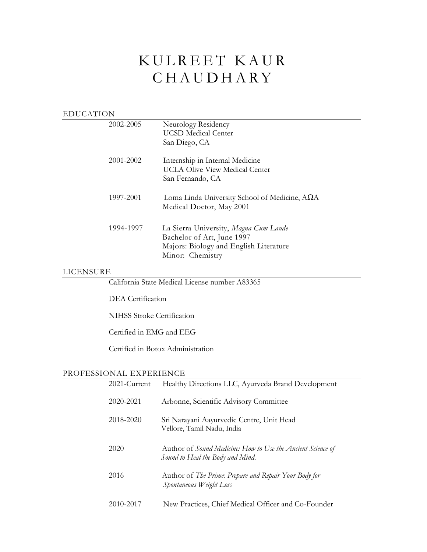# KULREET KAUR **CHAUDHARY**

| EDUCATION |                                                                                                                                   |  |  |  |
|-----------|-----------------------------------------------------------------------------------------------------------------------------------|--|--|--|
| 2002-2005 | Neurology Residency<br>UCSD Medical Center                                                                                        |  |  |  |
|           | San Diego, CA                                                                                                                     |  |  |  |
| 2001-2002 | Internship in Internal Medicine<br><b>UCLA Olive View Medical Center</b><br>San Fernando, CA                                      |  |  |  |
| 1997-2001 | Loma Linda University School of Medicine, $A\Omega A$<br>Medical Doctor, May 2001                                                 |  |  |  |
| 1994-1997 | La Sierra University, Magna Cum Laude<br>Bachelor of Art, June 1997<br>Majors: Biology and English Literature<br>Minor: Chemistry |  |  |  |

#### LICENSURE

California State Medical License number A83365

DEA Certification

NIHSS Stroke Certification

Certified in EMG and EEG

Certified in Botox Administration

### PROFESSIONAL EXPERIENCE

| 2021-Current | Healthy Directions LLC, Ayurveda Brand Development                                              |
|--------------|-------------------------------------------------------------------------------------------------|
| 2020-2021    | Arbonne, Scientific Advisory Committee                                                          |
| 2018-2020    | Sri Narayani Aayurvedic Centre, Unit Head<br>Vellore, Tamil Nadu, India                         |
| 2020         | Author of Sound Medicine: How to Use the Ancient Science of<br>Sound to Heal the Body and Mind. |
| 2016         | Author of <i>The Prime: Prepare and Repair Your Body for</i><br>Spontaneous Weight Loss         |
| 2010-2017    | New Practices, Chief Medical Officer and Co-Founder                                             |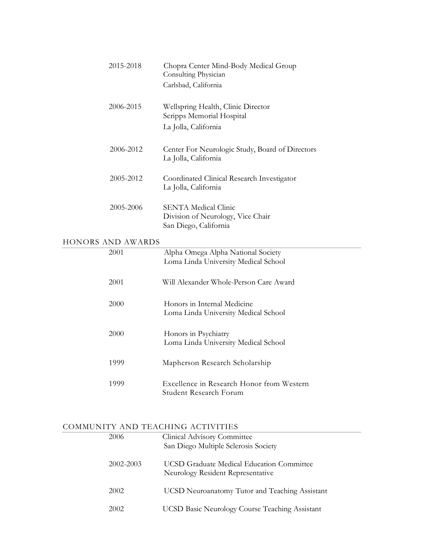| 2015-2018         | Chopra Center Mind-Body Medical Group<br>Consulting Physician<br>Carlsbad, California   |
|-------------------|-----------------------------------------------------------------------------------------|
| 2006-2015         | Wellspring Health, Clinic Director<br>Scripps Memorial Hospital<br>La Jolla, California |
| 2006-2012         | Center For Neurologic Study, Board of Directors<br>La Jolla, California                 |
| 2005-2012         | Coordinated Clinical Research Investigator<br>La Jolla, California                      |
| 2005-2006         | <b>SENTA Medical Clinic</b><br>Division of Neurology, Vice Chair                        |
| HONORS AND AWARDS | San Diego, California                                                                   |
| 2001              | Alpha Omega Alpha National Society<br>Loma Linda University Medical School              |
| 2001              | Will Alexander Whole-Person Care Award                                                  |
| 2000              | Honors in Internal Medicine<br>Loma Linda University Medical School                     |
| 2000              | Honors in Psychiatry<br>Loma Linda University Medical School                            |
| 1999              | Mapherson Research Scholarship                                                          |
| 1999              | Excellence in Research Honor from Western<br>Student Research Forum                     |

L,

**Contract Contract** 

## COMMUNITY AND TEACHING ACTIVITIES

| 2006      | Clinical Advisory Committee<br>San Diego Multiple Sclerosis Society                   |
|-----------|---------------------------------------------------------------------------------------|
| 2002-2003 | <b>UCSD Graduate Medical Education Committee</b><br>Neurology Resident Representative |
| 2002      | <b>UCSD</b> Neuroanatomy Tutor and Teaching Assistant                                 |
| 2002      | <b>UCSD Basic Neurology Course Teaching Assistant</b>                                 |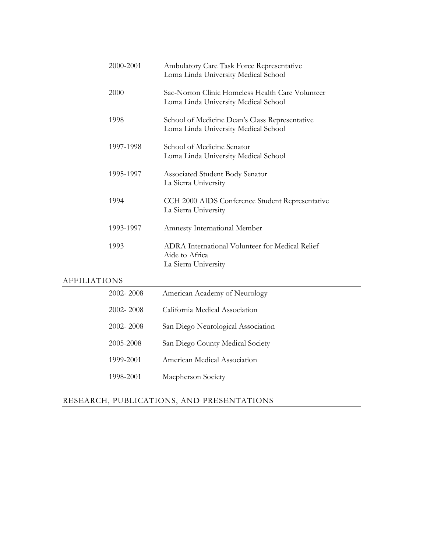|                     | 2000-2001 | Ambulatory Care Task Force Representative<br>Loma Linda University Medical School         |  |
|---------------------|-----------|-------------------------------------------------------------------------------------------|--|
|                     | 2000      | Sac-Norton Clinic Homeless Health Care Volunteer<br>Loma Linda University Medical School  |  |
|                     | 1998      | School of Medicine Dean's Class Representative<br>Loma Linda University Medical School    |  |
|                     | 1997-1998 | School of Medicine Senator<br>Loma Linda University Medical School                        |  |
|                     | 1995-1997 | Associated Student Body Senator<br>La Sierra University                                   |  |
|                     | 1994      | CCH 2000 AIDS Conference Student Representative<br>La Sierra University                   |  |
|                     | 1993-1997 | Amnesty International Member                                                              |  |
|                     | 1993      | ADRA International Volunteer for Medical Relief<br>Aide to Africa<br>La Sierra University |  |
| <b>AFFILIATIONS</b> |           |                                                                                           |  |
|                     | 2002-2008 | American Academy of Neurology                                                             |  |
|                     | 2002-2008 | California Medical Association                                                            |  |
|                     | 2002-2008 | San Diego Neurological Association                                                        |  |
|                     | 2005-2008 | San Diego County Medical Society                                                          |  |

1998-2001 Macpherson Society

1999-2001 American Medical Association

## RESEARCH, PUBLICATIONS, AND PRESENTATIONS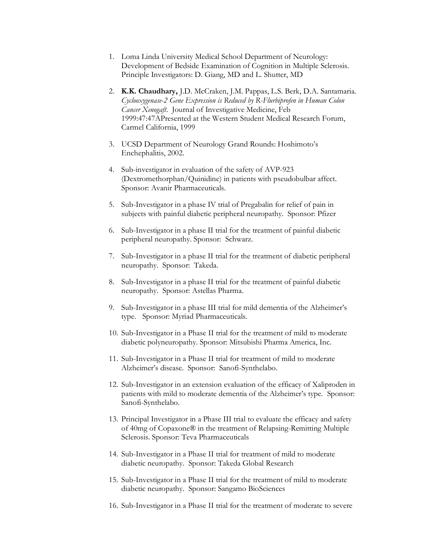- 1. Loma Linda University Medical School Department of Neurology: Development of Bedside Examination of Cognition in Multiple Sclerosis. Principle Investigators: D. Giang, MD and L. Shutter, MD
- 2. **K.K. Chaudhary,** J.D. McCraken, J.M. Pappas, L.S. Berk, D.A. Santamaria. *Cyclooxygenase-2 Gene Expression is Reduced by R-Flurbiprofen in Human Colon Cancer Xenogaft*. Journal of Investigative Medicine, Feb 1999:47:47APresented at the Western Student Medical Research Forum, Carmel California, 1999
- 3. UCSD Department of Neurology Grand Rounds: Hoshimoto's Enchephalitis, 2002.
- 4. Sub-investigator in evaluation of the safety of AVP-923 (Dextromethorphan/Quinidine) in patients with pseudobulbar affect. Sponsor: Avanir Pharmaceuticals.
- 5. Sub-Investigator in a phase IV trial of Pregabalin for relief of pain in subjects with painful diabetic peripheral neuropathy. Sponsor: Pfizer
- 6. Sub-Investigator in a phase II trial for the treatment of painful diabetic peripheral neuropathy. Sponsor: Schwarz.
- 7. Sub-Investigator in a phase II trial for the treatment of diabetic peripheral neuropathy. Sponsor: Takeda.
- 8. Sub-Investigator in a phase II trial for the treatment of painful diabetic neuropathy. Sponsor: Astellas Pharma.
- 9. Sub-Investigator in a phase III trial for mild dementia of the Alzheimer's type. Sponsor: Myriad Pharmaceuticals.
- 10. Sub-Investigator in a Phase II trial for the treatment of mild to moderate diabetic polyneuropathy. Sponsor: Mitsubishi Pharma America, Inc.
- 11. Sub-Investigator in a Phase II trial for treatment of mild to moderate Alzheimer's disease. Sponsor: Sanofi-Synthelabo.
- 12. Sub-Investigator in an extension evaluation of the efficacy of Xaliproden in patients with mild to moderate dementia of the Alzheimer's type. Sponsor: Sanofi-Synthelabo.
- 13. Principal Investigator in a Phase III trial to evaluate the efficacy and safety of 40mg of Copaxone® in the treatment of Relapsing-Remitting Multiple Sclerosis. Sponsor: Teva Pharmaceuticals
- 14. Sub-Investigator in a Phase II trial for treatment of mild to moderate diabetic neuropathy. Sponsor: Takeda Global Research
- 15. Sub-Investigator in a Phase II trial for the treatment of mild to moderate diabetic neuropathy. Sponsor: Sangamo BioSciences
- 16. Sub-Investigator in a Phase II trial for the treatment of moderate to severe